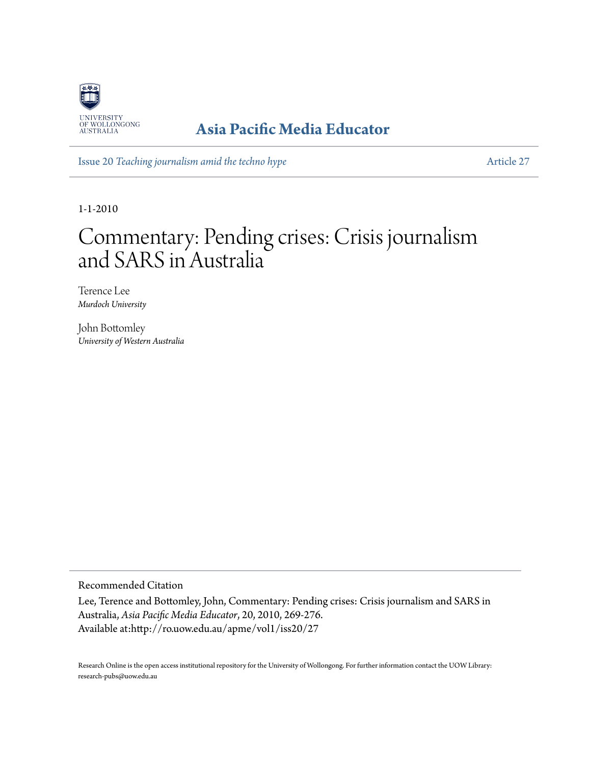

# **[Asia Pacific Media Educator](http://ro.uow.edu.au/apme)**

Issue 20 *[Teaching journalism amid the techno hype](http://ro.uow.edu.au/apme/vol1/iss20)* [Article 27](http://ro.uow.edu.au/apme/vol1/iss20/27)

1-1-2010

# Commentary: Pending crises: Crisis journalism and SARS in Australia

Terence Lee *Murdoch University*

John Bottomley *University of Western Australia*

Recommended Citation

Lee, Terence and Bottomley, John, Commentary: Pending crises: Crisis journalism and SARS in Australia, *Asia Pacific Media Educator*, 20, 2010, 269-276. Available at:http://ro.uow.edu.au/apme/vol1/iss20/27

Research Online is the open access institutional repository for the University of Wollongong. For further information contact the UOW Library: research-pubs@uow.edu.au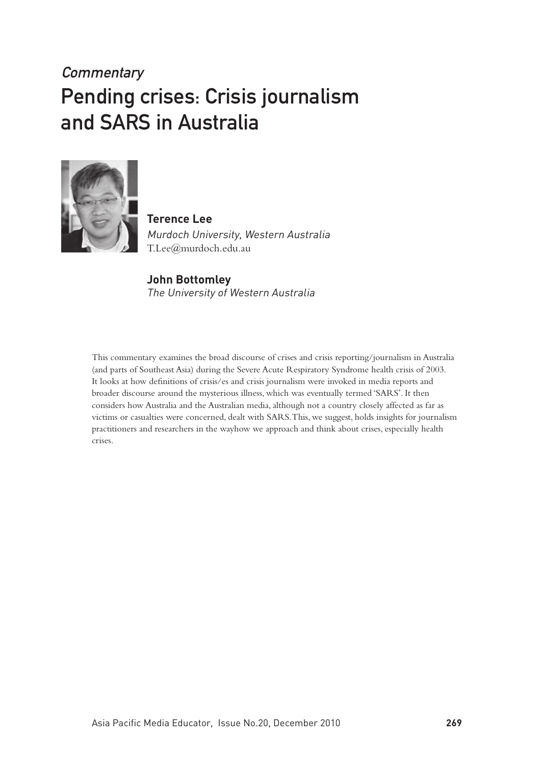# **Commentary** Pending crises: Crisis journalism and SARS in Australia



**Terence Lee**  Murdoch University, Western Australia T.Lee@murdoch.edu.au

#### **John Bottomley** The University of Western Australia

This commentary examines the broad discourse of crises and crisis reporting/journalism in Australia (and parts of Southeast Asia) during the Severe Acute Respiratory Syndrome health crisis of 2003. It looks at how definitions of crisis/es and crisis journalism were invoked in media reports and broader discourse around the mysterious illness, which was eventually termed 'SARS'. It then considers how Australia and the Australian media, although not a country closely affected as far as victims or casualties were concerned, dealt with SARS. This, we suggest, holds insights for journalism practitioners and researchers in the wayhow we approach and think about crises, especially health crises.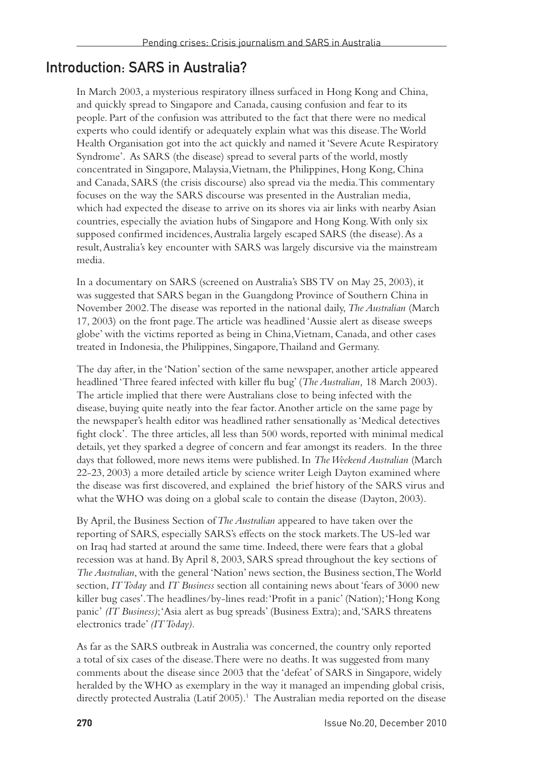## Introduction: SARS in Australia?

In March 2003, a mysterious respiratory illness surfaced in Hong Kong and China, and quickly spread to Singapore and Canada, causing confusion and fear to its people. Part of the confusion was attributed to the fact that there were no medical experts who could identify or adequately explain what was this disease. The World Health Organisation got into the act quickly and named it 'Severe Acute Respiratory Syndrome'. As SARS (the disease) spread to several parts of the world, mostly concentrated in Singapore, Malaysia, Vietnam, the Philippines, Hong Kong, China and Canada, SARS (the crisis discourse) also spread via the media. This commentary focuses on the way the SARS discourse was presented in the Australian media, which had expected the disease to arrive on its shores via air links with nearby Asian countries, especially the aviation hubs of Singapore and Hong Kong. With only six supposed confirmed incidences, Australia largely escaped SARS (the disease). As a result, Australia's key encounter with SARS was largely discursive via the mainstream media.

In a documentary on SARS (screened on Australia's SBS TV on May 25, 2003), it was suggested that SARS began in the Guangdong Province of Southern China in November 2002. The disease was reported in the national daily, *The Australian* (March 17, 2003) on the front page. The article was headlined 'Aussie alert as disease sweeps globe' with the victims reported as being in China, Vietnam, Canada, and other cases treated in Indonesia, the Philippines, Singapore, Thailand and Germany.

The day after, in the 'Nation' section of the same newspaper, another article appeared headlined 'Three feared infected with killer flu bug' (*The Australian,* 18 March 2003). The article implied that there were Australians close to being infected with the disease, buying quite neatly into the fear factor. Another article on the same page by the newspaper's health editor was headlined rather sensationally as 'Medical detectives fight clock'. The three articles, all less than 500 words, reported with minimal medical details, yet they sparked a degree of concern and fear amongst its readers. In the three days that followed, more news items were published. In *The Weekend Australian* (March 22-23, 2003) a more detailed article by science writer Leigh Dayton examined where the disease was first discovered, and explained the brief history of the SARS virus and what the WHO was doing on a global scale to contain the disease (Dayton, 2003).

By April, the Business Section of *The Australian* appeared to have taken over the reporting of SARS, especially SARS's effects on the stock markets. The US-led war on Iraq had started at around the same time. Indeed, there were fears that a global recession was at hand. By April 8, 2003, SARS spread throughout the key sections of *The Australian*, with the general 'Nation' news section, the Business section, The World section, *IT Today* and *IT Business* section all containing news about 'fears of 3000 new killer bug cases'. The headlines/by-lines read: 'Profit in a panic' (Nation); 'Hong Kong panic' *(IT Business)*; 'Asia alert as bug spreads' (Business Extra); and, 'SARS threatens electronics trade' *(IT Today).*

As far as the SARS outbreak in Australia was concerned, the country only reported a total of six cases of the disease. There were no deaths. It was suggested from many comments about the disease since 2003 that the 'defeat' of SARS in Singapore, widely heralded by the WHO as exemplary in the way it managed an impending global crisis, directly protected Australia (Latif 2005).<sup>1</sup> The Australian media reported on the disease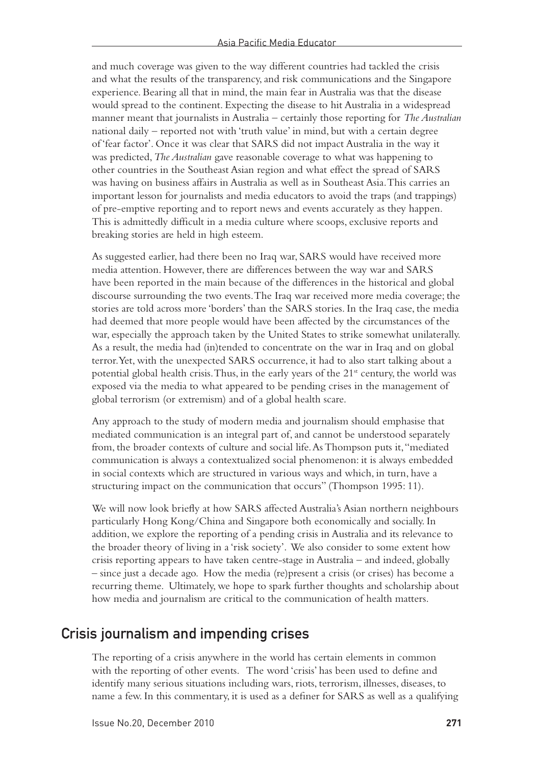and much coverage was given to the way different countries had tackled the crisis and what the results of the transparency, and risk communications and the Singapore experience. Bearing all that in mind, the main fear in Australia was that the disease would spread to the continent. Expecting the disease to hit Australia in a widespread manner meant that journalists in Australia – certainly those reporting for *The Australian* national daily – reported not with 'truth value' in mind, but with a certain degree of 'fear factor'. Once it was clear that SARS did not impact Australia in the way it was predicted, *The Australian* gave reasonable coverage to what was happening to other countries in the Southeast Asian region and what effect the spread of SARS was having on business affairs in Australia as well as in Southeast Asia. This carries an important lesson for journalists and media educators to avoid the traps (and trappings) of pre-emptive reporting and to report news and events accurately as they happen. This is admittedly difficult in a media culture where scoops, exclusive reports and breaking stories are held in high esteem.

As suggested earlier, had there been no Iraq war, SARS would have received more media attention. However, there are differences between the way war and SARS have been reported in the main because of the differences in the historical and global discourse surrounding the two events. The Iraq war received more media coverage; the stories are told across more 'borders' than the SARS stories. In the Iraq case, the media had deemed that more people would have been affected by the circumstances of the war, especially the approach taken by the United States to strike somewhat unilaterally. As a result, the media had (in)tended to concentrate on the war in Iraq and on global terror. Yet, with the unexpected SARS occurrence, it had to also start talking about a potential global health crisis. Thus, in the early years of the  $21<sup>st</sup>$  century, the world was exposed via the media to what appeared to be pending crises in the management of global terrorism (or extremism) and of a global health scare.

Any approach to the study of modern media and journalism should emphasise that mediated communication is an integral part of, and cannot be understood separately from, the broader contexts of culture and social life. As Thompson puts it, "mediated communication is always a contextualized social phenomenon: it is always embedded in social contexts which are structured in various ways and which, in turn, have a structuring impact on the communication that occurs" (Thompson 1995: 11).

We will now look briefly at how SARS affected Australia's Asian northern neighbours particularly Hong Kong/China and Singapore both economically and socially. In addition, we explore the reporting of a pending crisis in Australia and its relevance to the broader theory of living in a 'risk society'. We also consider to some extent how crisis reporting appears to have taken centre-stage in Australia – and indeed, globally – since just a decade ago. How the media (re)present a crisis (or crises) has become a recurring theme. Ultimately, we hope to spark further thoughts and scholarship about how media and journalism are critical to the communication of health matters.

### Crisis journalism and impending crises

The reporting of a crisis anywhere in the world has certain elements in common with the reporting of other events. The word 'crisis' has been used to define and identify many serious situations including wars, riots, terrorism, illnesses, diseases, to name a few. In this commentary, it is used as a definer for SARS as well as a qualifying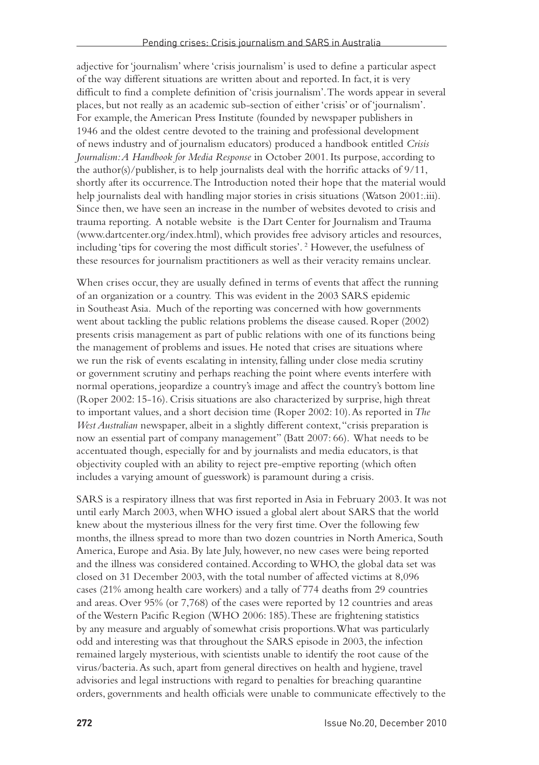adjective for 'journalism' where 'crisis journalism' is used to define a particular aspect of the way different situations are written about and reported. In fact, it is very difficult to find a complete definition of 'crisis journalism'. The words appear in several places, but not really as an academic sub-section of either 'crisis' or of 'journalism'. For example, the American Press Institute (founded by newspaper publishers in 1946 and the oldest centre devoted to the training and professional development of news industry and of journalism educators) produced a handbook entitled *Crisis Journalism: A Handbook for Media Response* in October 2001. Its purpose, according to the author(s)/publisher, is to help journalists deal with the horrific attacks of 9/11, shortly after its occurrence. The Introduction noted their hope that the material would help journalists deal with handling major stories in crisis situations (Watson 2001:.iii). Since then, we have seen an increase in the number of websites devoted to crisis and trauma reporting. A notable website is the Dart Center for Journalism and Trauma (www.dartcenter.org/index.html), which provides free advisory articles and resources, including 'tips for covering the most difficult stories'. 2 However, the usefulness of these resources for journalism practitioners as well as their veracity remains unclear.

When crises occur, they are usually defined in terms of events that affect the running of an organization or a country. This was evident in the 2003 SARS epidemic in Southeast Asia. Much of the reporting was concerned with how governments went about tackling the public relations problems the disease caused. Roper (2002) presents crisis management as part of public relations with one of its functions being the management of problems and issues. He noted that crises are situations where we run the risk of events escalating in intensity, falling under close media scrutiny or government scrutiny and perhaps reaching the point where events interfere with normal operations, jeopardize a country's image and affect the country's bottom line (Roper 2002: 15-16). Crisis situations are also characterized by surprise, high threat to important values, and a short decision time (Roper 2002: 10). As reported in *The West Australian* newspaper, albeit in a slightly different context, "crisis preparation is now an essential part of company management" (Batt 2007: 66). What needs to be accentuated though, especially for and by journalists and media educators, is that objectivity coupled with an ability to reject pre-emptive reporting (which often includes a varying amount of guesswork) is paramount during a crisis.

SARS is a respiratory illness that was first reported in Asia in February 2003. It was not until early March 2003, when WHO issued a global alert about SARS that the world knew about the mysterious illness for the very first time. Over the following few months, the illness spread to more than two dozen countries in North America, South America, Europe and Asia. By late July, however, no new cases were being reported and the illness was considered contained. According to WHO, the global data set was closed on 31 December 2003, with the total number of affected victims at 8,096 cases (21% among health care workers) and a tally of 774 deaths from 29 countries and areas. Over 95% (or 7,768) of the cases were reported by 12 countries and areas of the Western Pacific Region (WHO 2006: 185). These are frightening statistics by any measure and arguably of somewhat crisis proportions. What was particularly odd and interesting was that throughout the SARS episode in 2003, the infection remained largely mysterious, with scientists unable to identify the root cause of the virus/bacteria. As such, apart from general directives on health and hygiene, travel advisories and legal instructions with regard to penalties for breaching quarantine orders, governments and health officials were unable to communicate effectively to the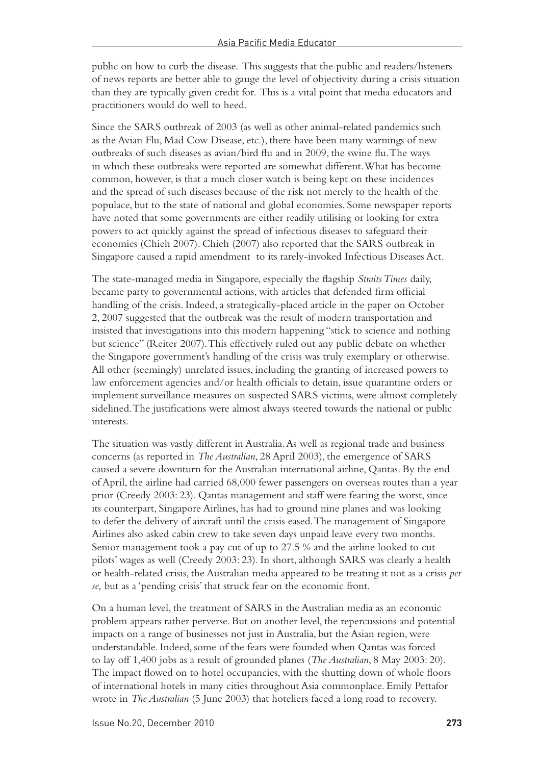public on how to curb the disease. This suggests that the public and readers/listeners of news reports are better able to gauge the level of objectivity during a crisis situation than they are typically given credit for. This is a vital point that media educators and practitioners would do well to heed.

Since the SARS outbreak of 2003 (as well as other animal-related pandemics such as the Avian Flu, Mad Cow Disease, etc.), there have been many warnings of new outbreaks of such diseases as avian/bird flu and in 2009, the swine flu. The ways in which these outbreaks were reported are somewhat different. What has become common, however, is that a much closer watch is being kept on these incidences and the spread of such diseases because of the risk not merely to the health of the populace, but to the state of national and global economies. Some newspaper reports have noted that some governments are either readily utilising or looking for extra powers to act quickly against the spread of infectious diseases to safeguard their economies (Chieh 2007). Chieh (2007) also reported that the SARS outbreak in Singapore caused a rapid amendment to its rarely-invoked Infectious Diseases Act.

The state-managed media in Singapore, especially the flagship *Straits Times* daily, became party to governmental actions, with articles that defended firm official handling of the crisis. Indeed, a strategically-placed article in the paper on October 2, 2007 suggested that the outbreak was the result of modern transportation and insisted that investigations into this modern happening "stick to science and nothing but science" (Reiter 2007). This effectively ruled out any public debate on whether the Singapore government's handling of the crisis was truly exemplary or otherwise. All other (seemingly) unrelated issues, including the granting of increased powers to law enforcement agencies and/or health officials to detain, issue quarantine orders or implement surveillance measures on suspected SARS victims, were almost completely sidelined. The justifications were almost always steered towards the national or public interests.

The situation was vastly different in Australia. As well as regional trade and business concerns (as reported in *The Australian*, 28 April 2003), the emergence of SARS caused a severe downturn for the Australian international airline, Qantas. By the end of April, the airline had carried 68,000 fewer passengers on overseas routes than a year prior (Creedy 2003: 23). Qantas management and staff were fearing the worst, since its counterpart, Singapore Airlines, has had to ground nine planes and was looking to defer the delivery of aircraft until the crisis eased. The management of Singapore Airlines also asked cabin crew to take seven days unpaid leave every two months. Senior management took a pay cut of up to 27.5 % and the airline looked to cut pilots' wages as well (Creedy 2003: 23). In short, although SARS was clearly a health or health-related crisis, the Australian media appeared to be treating it not as a crisis *per se,* but as a 'pending crisis' that struck fear on the economic front.

On a human level, the treatment of SARS in the Australian media as an economic problem appears rather perverse. But on another level, the repercussions and potential impacts on a range of businesses not just in Australia, but the Asian region, were understandable. Indeed, some of the fears were founded when Qantas was forced to lay off 1,400 jobs as a result of grounded planes (*The Australian*, 8 May 2003: 20). The impact flowed on to hotel occupancies, with the shutting down of whole floors of international hotels in many cities throughout Asia commonplace. Emily Pettafor wrote in *The Australian* (5 June 2003) that hoteliers faced a long road to recovery.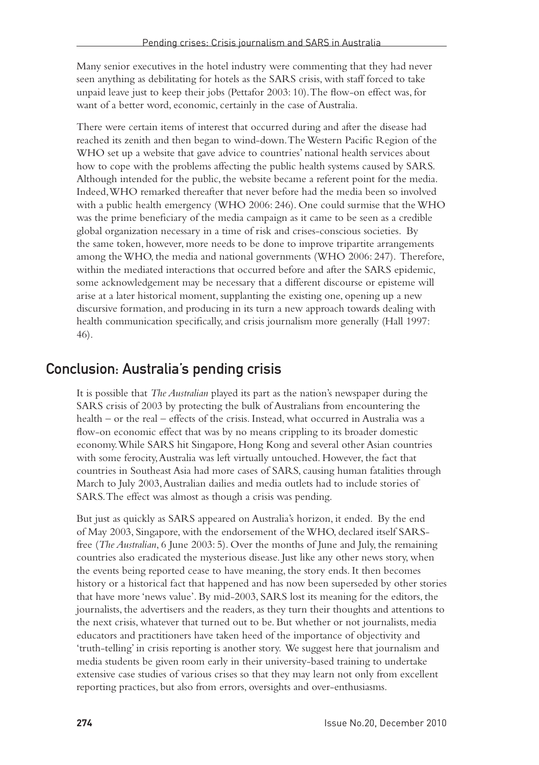Many senior executives in the hotel industry were commenting that they had never seen anything as debilitating for hotels as the SARS crisis, with staff forced to take unpaid leave just to keep their jobs (Pettafor 2003: 10). The flow-on effect was, for want of a better word, economic, certainly in the case of Australia.

There were certain items of interest that occurred during and after the disease had reached its zenith and then began to wind-down. The Western Pacific Region of the WHO set up a website that gave advice to countries' national health services about how to cope with the problems affecting the public health systems caused by SARS. Although intended for the public, the website became a referent point for the media. Indeed, WHO remarked thereafter that never before had the media been so involved with a public health emergency (WHO 2006: 246). One could surmise that the WHO was the prime beneficiary of the media campaign as it came to be seen as a credible global organization necessary in a time of risk and crises-conscious societies. By the same token, however, more needs to be done to improve tripartite arrangements among the WHO, the media and national governments (WHO 2006: 247). Therefore, within the mediated interactions that occurred before and after the SARS epidemic, some acknowledgement may be necessary that a different discourse or episteme will arise at a later historical moment, supplanting the existing one, opening up a new discursive formation, and producing in its turn a new approach towards dealing with health communication specifically, and crisis journalism more generally (Hall 1997: 46).

### Conclusion: Australia's pending crisis

It is possible that *The Australian* played its part as the nation's newspaper during the SARS crisis of 2003 by protecting the bulk of Australians from encountering the health – or the real – effects of the crisis. Instead, what occurred in Australia was a flow-on economic effect that was by no means crippling to its broader domestic economy. While SARS hit Singapore, Hong Kong and several other Asian countries with some ferocity, Australia was left virtually untouched. However, the fact that countries in Southeast Asia had more cases of SARS, causing human fatalities through March to July 2003, Australian dailies and media outlets had to include stories of SARS. The effect was almost as though a crisis was pending.

But just as quickly as SARS appeared on Australia's horizon, it ended. By the end of May 2003, Singapore, with the endorsement of the WHO, declared itself SARSfree (*The Australian*, 6 June 2003: 5). Over the months of June and July, the remaining countries also eradicated the mysterious disease. Just like any other news story, when the events being reported cease to have meaning, the story ends. It then becomes history or a historical fact that happened and has now been superseded by other stories that have more 'news value'. By mid-2003, SARS lost its meaning for the editors, the journalists, the advertisers and the readers, as they turn their thoughts and attentions to the next crisis, whatever that turned out to be. But whether or not journalists, media educators and practitioners have taken heed of the importance of objectivity and 'truth-telling' in crisis reporting is another story. We suggest here that journalism and media students be given room early in their university-based training to undertake extensive case studies of various crises so that they may learn not only from excellent reporting practices, but also from errors, oversights and over-enthusiasms.